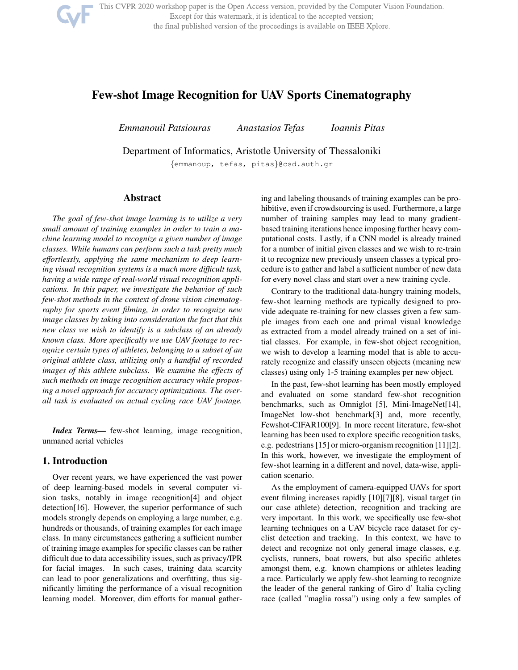

This CVPR 2020 workshop paper is the Open Access version, provided by the Computer Vision Foundation. Except for this watermark, it is identical to the accepted version;

#### the final published version of the proceedings is available on IEEE Xplore.

# Few-shot Image Recognition for UAV Sports Cinematography

*Emmanouil Patsiouras Anastasios Tefas Ioannis Pitas*

Department of Informatics, Aristotle University of Thessaloniki

{emmanoup, tefas, pitas}@csd.auth.gr

## Abstract

*The goal of few-shot image learning is to utilize a very small amount of training examples in order to train a machine learning model to recognize a given number of image classes. While humans can perform such a task pretty much effortlessly, applying the same mechanism to deep learning visual recognition systems is a much more difficult task, having a wide range of real-world visual recognition applications. In this paper, we investigate the behavior of such few-shot methods in the context of drone vision cinematography for sports event filming, in order to recognize new image classes by taking into consideration the fact that this new class we wish to identify is a subclass of an already known class. More specifically we use UAV footage to recognize certain types of athletes, belonging to a subset of an original athlete class, utilizing only a handful of recorded images of this athlete subclass. We examine the effects of such methods on image recognition accuracy while proposing a novel approach for accuracy optimizations. The overall task is evaluated on actual cycling race UAV footage.*

*Index Terms—* few-shot learning, image recognition, unmaned aerial vehicles

## 1. Introduction

Over recent years, we have experienced the vast power of deep learning-based models in several computer vision tasks, notably in image recognition[4] and object detection[16]. However, the superior performance of such models strongly depends on employing a large number, e.g. hundreds or thousands, of training examples for each image class. In many circumstances gathering a sufficient number of training image examples for specific classes can be rather difficult due to data accessibility issues, such as privacy/IPR for facial images. In such cases, training data scarcity can lead to poor generalizations and overfitting, thus significantly limiting the performance of a visual recognition learning model. Moreover, dim efforts for manual gathering and labeling thousands of training examples can be prohibitive, even if crowdsourcing is used. Furthermore, a large number of training samples may lead to many gradientbased training iterations hence imposing further heavy computational costs. Lastly, if a CNN model is already trained for a number of initial given classes and we wish to re-train it to recognize new previously unseen classes a typical procedure is to gather and label a sufficient number of new data for every novel class and start over a new training cycle.

Contrary to the traditional data-hungry training models, few-shot learning methods are typically designed to provide adequate re-training for new classes given a few sample images from each one and primal visual knowledge as extracted from a model already trained on a set of initial classes. For example, in few-shot object recognition, we wish to develop a learning model that is able to accurately recognize and classify unseen objects (meaning new classes) using only 1-5 training examples per new object.

In the past, few-shot learning has been mostly employed and evaluated on some standard few-shot recognition benchmarks, such as Omniglot [5], Mini-ImageNet[14], ImageNet low-shot benchmark[3] and, more recently, Fewshot-CIFAR100[9]. In more recent literature, few-shot learning has been used to explore specific recognition tasks, e.g. pedestrians [15] or micro-organism recognition [11][2]. In this work, however, we investigate the employment of few-shot learning in a different and novel, data-wise, application scenario.

As the employment of camera-equipped UAVs for sport event filming increases rapidly [10][7][8], visual target (in our case athlete) detection, recognition and tracking are very important. In this work, we specifically use few-shot learning techniques on a UAV bicycle race dataset for cyclist detection and tracking. In this context, we have to detect and recognize not only general image classes, e.g. cyclists, runners, boat rowers, but also specific athletes amongst them, e.g. known champions or athletes leading a race. Particularly we apply few-shot learning to recognize the leader of the general ranking of Giro d' Italia cycling race (called "maglia rossa") using only a few samples of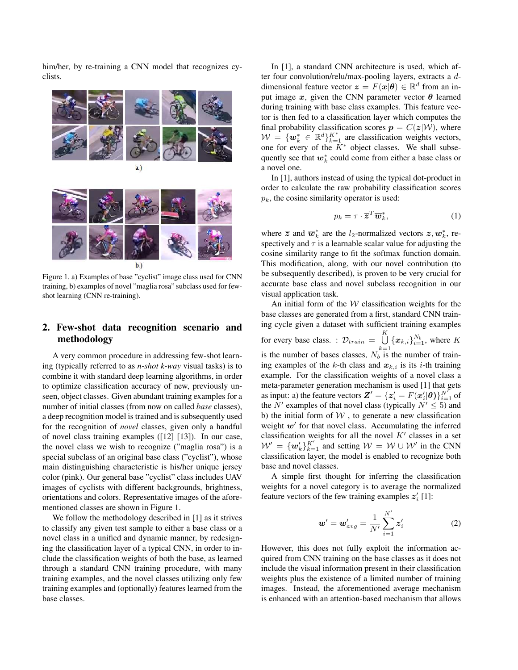him/her, by re-training a CNN model that recognizes cyclists.



Figure 1. a) Examples of base "cyclist" image class used for CNN training, b) examples of novel "maglia rosa" subclass used for fewshot learning (CNN re-training).

## 2. Few-shot data recognition scenario and methodology

A very common procedure in addressing few-shot learning (typically referred to as *n-shot k-way* visual tasks) is to combine it with standard deep learning algorithms, in order to optimize classification accuracy of new, previously unseen, object classes. Given abundant training examples for a number of initial classes (from now on called *base* classes), a deep recognition model is trained and is subsequently used for the recognition of *novel* classes, given only a handful of novel class training examples ([12] [13]). In our case, the novel class we wish to recognize ("maglia rosa") is a special subclass of an original base class ("cyclist"), whose main distinguishing characteristic is his/her unique jersey color (pink). Our general base "cyclist" class includes UAV images of cyclists with different backgrounds, brightness, orientations and colors. Representative images of the aforementioned classes are shown in Figure 1.

We follow the methodology described in [1] as it strives to classify any given test sample to either a base class or a novel class in a unified and dynamic manner, by redesigning the classification layer of a typical CNN, in order to include the classification weights of both the base, as learned through a standard CNN training procedure, with many training examples, and the novel classes utilizing only few training examples and (optionally) features learned from the base classes.

In [1], a standard CNN architecture is used, which after four convolution/relu/max-pooling layers, extracts a ddimensional feature vector  $\boldsymbol{z} = F(\boldsymbol{x}|\boldsymbol{\theta}) \in \mathbb{R}^d$  from an input image x, given the CNN parameter vector  $\theta$  learned during training with base class examples. This feature vector is then fed to a classification layer which computes the final probability classification scores  $p = C(z|W)$ , where  $W = \{w_k^* \in \mathbb{R}^d\}_{k=1}^{K^*}$  are classification weights vectors, one for every of the  $K^*$  object classes. We shall subsequently see that  $w_k^*$  could come from either a base class or a novel one.

In [1], authors instead of using the typical dot-product in order to calculate the raw probability classification scores  $p_k$ , the cosine similarity operator is used:

$$
p_k = \tau \cdot \overline{\mathbf{z}}^T \overline{\mathbf{w}}_k^*,\tag{1}
$$

where  $\overline{z}$  and  $\overline{w}_k^*$  are the *l*<sub>2</sub>-normalized vectors  $z, w_k^*$ , respectively and  $\tau$  is a learnable scalar value for adjusting the cosine similarity range to fit the softmax function domain. This modification, along, with our novel contribution (to be subsequently described), is proven to be very crucial for accurate base class and novel subclass recognition in our visual application task.

An initial form of the  $W$  classification weights for the base classes are generated from a first, standard CNN training cycle given a dataset with sufficient training examples for every base class. :  $\mathcal{D}_{train} = \bigcup_{k}^{K}$  $\bigcup_{k=1}^{n} {\{x_{k,i}\}}_{i=1}^{N_b}$ , where K is the number of bases classes,  $N_b$  is the number of training examples of the k-th class and  $x_{k,i}$  is its *i*-th training example. For the classification weights of a novel class a meta-parameter generation mechanism is used [1] that gets as input: a) the feature vectors  $\mathbf{Z}' = {\mathbf{z}'_i = F(\mathbf{x}'_i | \boldsymbol{\theta})}_{i=1}^N$  of the N' examples of that novel class (typically  $N' \leq 5$ ) and b) the initial form of  $W$ , to generate a new classification weight  $w'$  for that novel class. Accumulating the inferred classification weights for all the novel  $K'$  classes in a set  $W' = \{w'_k\}_{k=1}^{K'}$  and setting  $W = W \cup W'$  in the CNN classification layer, the model is enabled to recognize both base and novel classes.

A simple first thought for inferring the classification weights for a novel category is to average the normalized feature vectors of the few training examples  $z_i'$  [1]:

$$
\boldsymbol{w}' = \boldsymbol{w}'_{avg} = \frac{1}{N'} \sum_{i=1}^{N'} \boldsymbol{\overline{z}}'_i
$$
 (2)

However, this does not fully exploit the information acquired from CNN training on the base classes as it does not include the visual information present in their classification weights plus the existence of a limited number of training images. Instead, the aforementioned average mechanism is enhanced with an attention-based mechanism that allows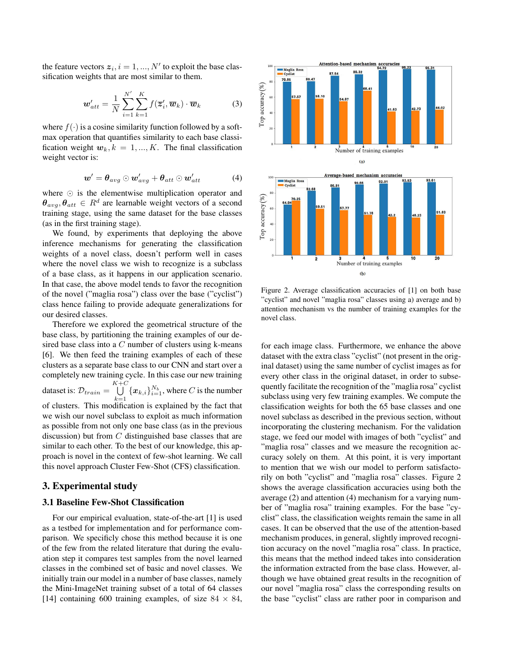the feature vectors  $z_i$ ,  $i = 1, ..., N'$  to exploit the base classification weights that are most similar to them.

$$
\boldsymbol{w}_{att}' = \frac{1}{N} \sum_{i=1}^{N'} \sum_{k=1}^{K} f(\boldsymbol{\overline{z}}'_i, \boldsymbol{\overline{w}}_k) \cdot \boldsymbol{\overline{w}}_k
$$
(3)

where  $f(\cdot)$  is a cosine similarity function followed by a softmax operation that quantifies similarity to each base classification weight  $w_k, k = 1, ..., K$ . The final classification weight vector is:

$$
\mathbf{w}' = \boldsymbol{\theta}_{avg} \odot \mathbf{w}'_{avg} + \boldsymbol{\theta}_{att} \odot \mathbf{w}'_{att} \tag{4}
$$

where ⊙ is the elementwise multiplication operator and  $\theta_{avg}, \theta_{att} \in R^d$  are learnable weight vectors of a second training stage, using the same dataset for the base classes (as in the first training stage).

We found, by experiments that deploying the above inference mechanisms for generating the classification weights of a novel class, doesn't perform well in cases where the novel class we wish to recognize is a subclass of a base class, as it happens in our application scenario. In that case, the above model tends to favor the recognition of the novel ("maglia rosa") class over the base ("cyclist") class hence failing to provide adequate generalizations for our desired classes.

Therefore we explored the geometrical structure of the base class, by partitioning the training examples of our desired base class into a  $C$  number of clusters using k-means [6]. We then feed the training examples of each of these clusters as a separate base class to our CNN and start over a completely new training cycle. In this case our new training dataset is:  $\mathcal{D}_{train} = \bigcup_{k \in \mathcal{N}}^{K+C}$  $\bigcup_{k=1}^{N_b} \{x_{k,i}\}_{i=1}^{N_b}$ , where C is the number of clusters. This modification is explained by the fact that we wish our novel subclass to exploit as much information as possible from not only one base class (as in the previous discussion) but from  $C$  distinguished base classes that are similar to each other. To the best of our knowledge, this approach is novel in the context of few-shot learning. We call

this novel approach Cluster Few-Shot (CFS) classification.

#### 3. Experimental study

#### 3.1 Baseline Few-Shot Classification

For our empirical evaluation, state-of-the-art [1] is used as a testbed for implementation and for performance comparison. We specificly chose this method because it is one of the few from the related literature that during the evaluation step it compares test samples from the novel learned classes in the combined set of basic and novel classes. We initially train our model in a number of base classes, namely the Mini-ImageNet training subset of a total of 64 classes [14] containing 600 training examples, of size  $84 \times 84$ ,



Figure 2. Average classification accuracies of [1] on both base "cyclist" and novel "maglia rosa" classes using a) average and b) attention mechanism vs the number of training examples for the novel class.

for each image class. Furthermore, we enhance the above dataset with the extra class "cyclist" (not present in the original dataset) using the same number of cyclist images as for every other class in the original dataset, in order to subsequently facilitate the recognition of the "maglia rosa" cyclist subclass using very few training examples. We compute the classification weights for both the 65 base classes and one novel subclass as described in the previous section, without incorporating the clustering mechanism. For the validation stage, we feed our model with images of both "cyclist" and "maglia rosa" classes and we measure the recognition accuracy solely on them. At this point, it is very important to mention that we wish our model to perform satisfactorily on both "cyclist" and "maglia rosa" classes. Figure 2 shows the average classification accuracies using both the average (2) and attention (4) mechanism for a varying number of "maglia rosa" training examples. For the base "cyclist" class, the classification weights remain the same in all cases. It can be observed that the use of the attention-based mechanism produces, in general, slightly improved recognition accuracy on the novel "maglia rosa" class. In practice, this means that the method indeed takes into consideration the information extracted from the base class. However, although we have obtained great results in the recognition of our novel "maglia rosa" class the corresponding results on the base "cyclist" class are rather poor in comparison and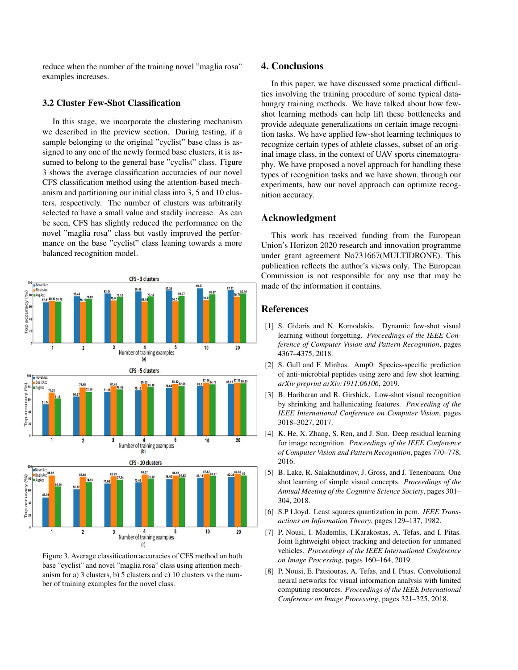reduce when the number of the training novel "maglia rosa" examples increases.

#### 3.2 Cluster Few-Shot Classification

In this stage, we incorporate the clustering mechanism we described in the preview section. During testing, if a sample belonging to the original "cyclist" base class is assigned to any one of the newly formed base clusters, it is assumed to belong to the general base "cyclist" class. Figure 3 shows the average classification accuracies of our novel CFS classification method using the attention-based mechanism and partitioning our initial class into 3, 5 and 10 clusters, respectively. The number of clusters was arbitrarily selected to have a small value and stadily increase. As can be seen, CFS has slightly reduced the performance on the novel "maglia rosa" class but vastly improved the performance on the base "cyclist" class leaning towards a more balanced recognition model.



Figure 3. Average classification accuracies of CFS method on both base "cyclist" and novel "maglia rosa" class using attention mechanism for a) 3 clusters, b) 5 clusters and c) 10 clusters vs the number of training examples for the novel class.

### 4. Conclusions

In this paper, we have discussed some practical difficulties involving the training procedure of some typical datahungry training methods. We have talked about how fewshot learning methods can help lift these bottlenecks and provide adequate generalizations on certain image recognition tasks. We have applied few-shot learning techniques to recognize certain types of athlete classes, subset of an original image class, in the context of UAV sports cinematography. We have proposed a novel approach for handling these types of recognition tasks and we have shown, through our experiments, how our novel approach can optimize recognition accuracy.

#### Acknowledgment

This work has received funding from the European Union's Horizon 2020 research and innovation programme under grant agreement No731667(MULTIDRONE). This publication reflects the author's views only. The European Commission is not responsible for any use that may be made of the information it contains.

## References

- [1] S. Gidaris and N. Komodakis. Dynamic few-shot visual learning without forgetting. *Proceedings of the IEEE Conference of Computer Vision and Pattern Recognition*, pages 4367–4375, 2018.
- [2] S. Gull and F. Minhas. Amp0: Species-specific prediction of anti-microbial peptides using zero and few shot learning. *arXiv preprint arXiv:1911.06106*, 2019.
- [3] B. Hariharan and R. Girshick. Low-shot visual recognition by shrinking and hallunicating features. *Proceeding of the IEEE International Conference on Computer Vision*, pages 3018–3027, 2017.
- [4] K. He, X. Zhang, S. Ren, and J. Sun. Deep residual learning for image recognition. *Proceedings of the IEEE Conference of Computer Vision and Pattern Recognition*, pages 770–778, 2016.
- [5] B. Lake, R. Salakhutdinov, J. Gross, and J. Tenenbaum. One shot learning of simple visual concepts. *Proceedings of the Annual Meeting of the Cognitive Science Society*, pages 301– 304, 2018.
- [6] S.P Lloyd. Least squares quantization in pcm. *IEEE Transactions on Information Theory*, pages 129–137, 1982.
- [7] P. Nousi, I. Mademlis, I.Karakostas, A. Tefas, and I. Pitas. Joint lightweight object tracking and detection for unmaned vehicles. *Proceedings of the IEEE International Conference on Image Processing*, pages 160–164, 2019.
- [8] P. Nousi, E. Patsiouras, A. Tefas, and I. Pitas. Convolutional neural networks for visual information analysis with limited computing resources. *Proceedings of the IEEE International Conference on Image Processing*, pages 321–325, 2018.